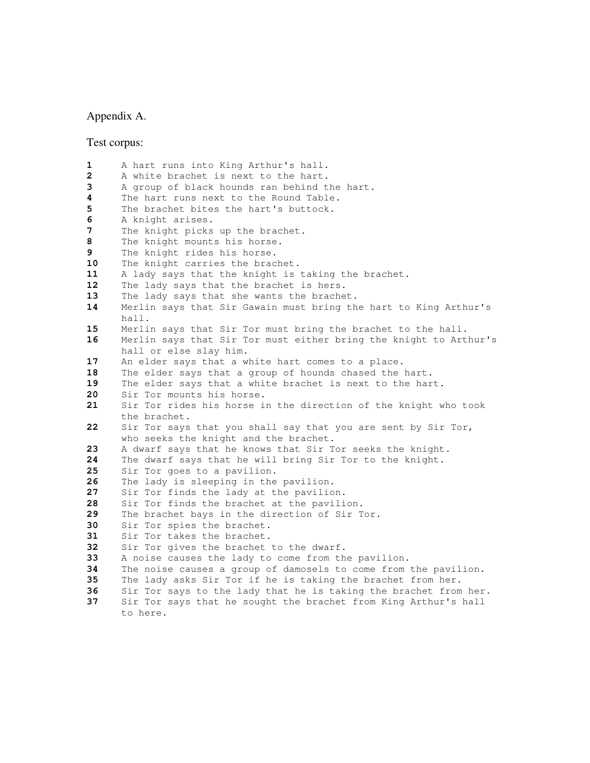#### Appendix A.

Test corpus:

```
1 A hart runs into King Arthur's hall.
2 A white brachet is next to the hart.
3 A group of black hounds ran behind the hart.
4 The hart runs next to the Round Table.
5 The brachet bites the hart's buttock.
6 A knight arises.
7 The knight picks up the brachet.
8 The knight mounts his horse.
9 The knight rides his horse.
10 The knight carries the brachet.
11 A lady says that the knight is taking the brachet.
12 The lady says that the brachet is hers.
13 The lady says that she wants the brachet.
14 Merlin says that Sir Gawain must bring the hart to King Arthur's
     hall.
15 Merlin says that Sir Tor must bring the brachet to the hall.
16 Merlin says that Sir Tor must either bring the knight to Arthur's
     hall or else slay him.
17 An elder says that a white hart comes to a place.
18 The elder says that a group of hounds chased the hart.
19 The elder says that a white brachet is next to the hart.
20 Sir Tor mounts his horse.
21 Sir Tor rides his horse in the direction of the knight who took
     the brachet.
22 Sir Tor says that you shall say that you are sent by Sir Tor,
     who seeks the knight and the brachet.
23 A dwarf says that he knows that Sir Tor seeks the knight.
24 The dwarf says that he will bring Sir Tor to the knight.
25 Sir Tor goes to a pavilion.
26 The lady is sleeping in the pavilion.
27 Sir Tor finds the lady at the pavilion.
28 Sir Tor finds the brachet at the pavilion.
29 The brachet bays in the direction of Sir Tor.
30 Sir Tor spies the brachet.
31 Sir Tor takes the brachet.
32 Sir Tor gives the brachet to the dwarf.
33 A noise causes the lady to come from the pavilion.
34 The noise causes a group of damosels to come from the pavilion.
35 The lady asks Sir Tor if he is taking the brachet from her.
36 Sir Tor says to the lady that he is taking the brachet from her.
37 Sir Tor says that he sought the brachet from King Arthur's hall
     to here.
```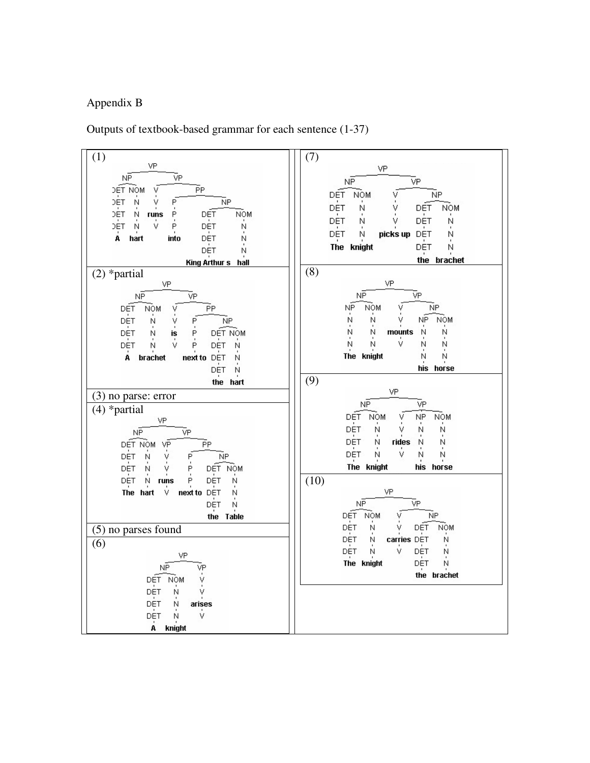## Appendix B

Outputs of textbook-based grammar for each sentence  $(1-37)$ 

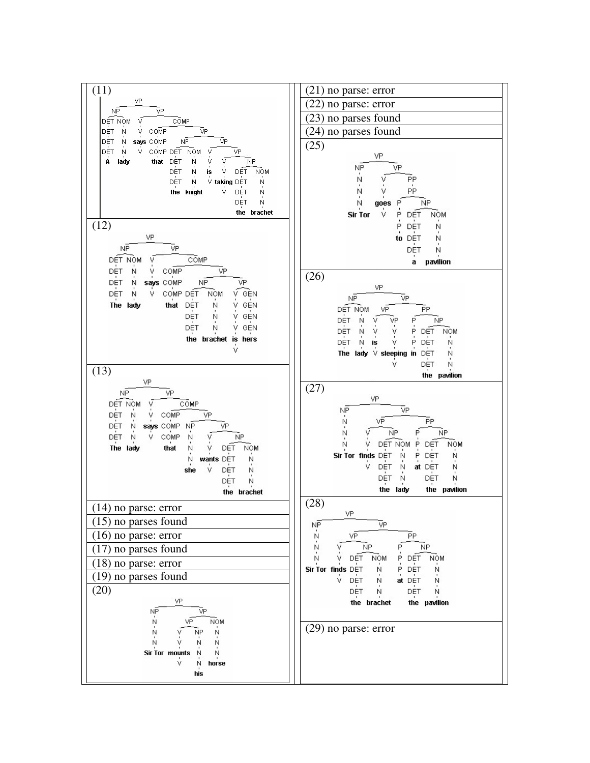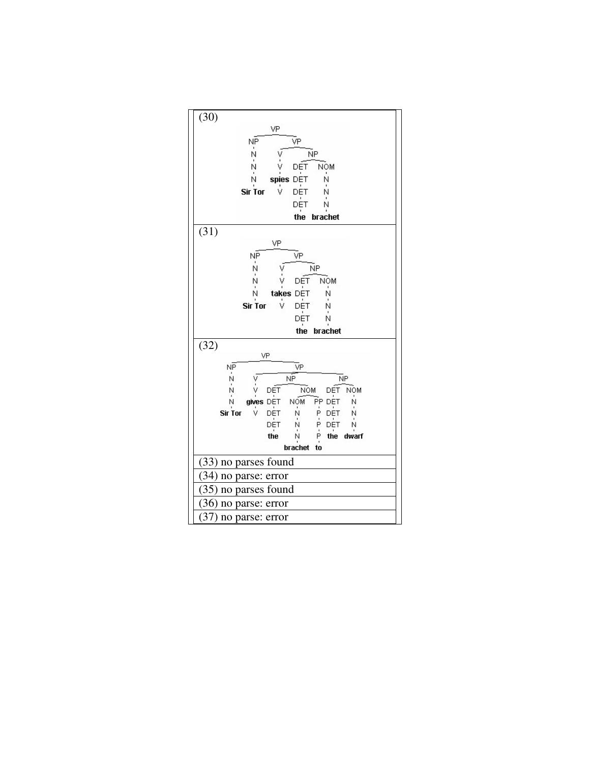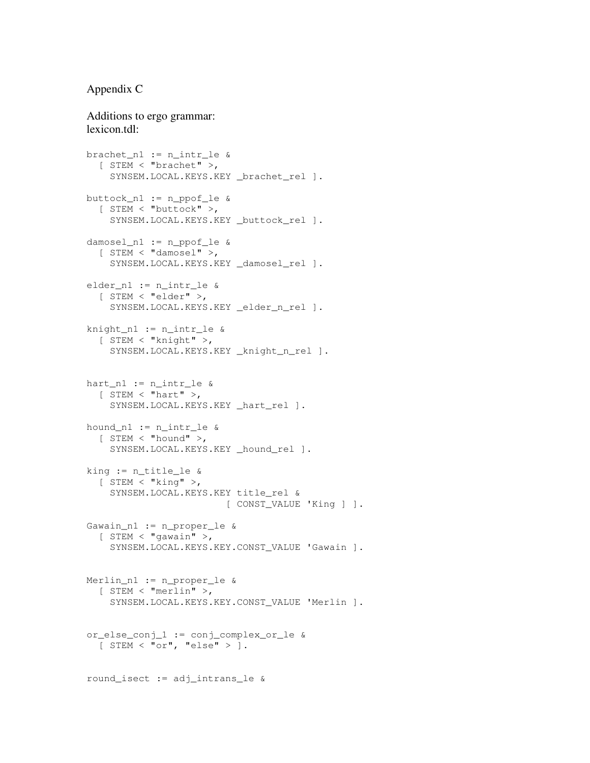### Appendix C

#### Additions to ergo grammar: lexicon.tdl:

```
brachet_n1 := n_intr_le &
  [ STEM < "brachet" >,
    SYNSEM.LOCAL.KEYS.KEY _brachet_rel ].
buttock_n1 := n_ppof_le &
  [ STEM < "buttock" >,
    SYNSEM.LOCAL.KEYS.KEY _buttock_rel ].
damosel_n1 := n_ppof_le &
  [ STEM < "damosel" >,
    SYNSEM.LOCAL.KEYS.KEY _damosel_rel ].
elder_n1 := n_intr_le &
  [ STEM < "elder" >,
    SYNSEM.LOCAL.KEYS.KEY _elder_n_rel ].
knight_n1 := n_intr_le &
  [ STEM < "knight" >,
    SYNSEM.LOCAL.KEYS.KEY _knight_n_rel ].
hart nl := n intr le &
  [ STEM < "hart" >,
    SYNSEM.LOCAL.KEYS.KEY _hart_rel ].
hound_n1 := n_intr_le &
  [ STEM < "hound" >,
    SYNSEM.LOCAL.KEYS.KEY _hound_rel ].
king := n_title_le &
  [ STEM < "king" >,
    SYNSEM.LOCAL.KEYS.KEY title_rel &
                        [ CONST_VALUE 'King ] ].
Gawain_n1 := n_proper_le &
  [ STEM < "gawain" >,
    SYNSEM.LOCAL.KEYS.KEY.CONST_VALUE 'Gawain ].
Merlin_n1 := n_proper_le &
  [ STEM < "merlin" >,
    SYNSEM.LOCAL.KEYS.KEY.CONST_VALUE 'Merlin ].
or_else_conj_1 := conj_complex_or_le &
  [ STEM < "or", "else" > ].
round_isect := adj_intrans_le &
```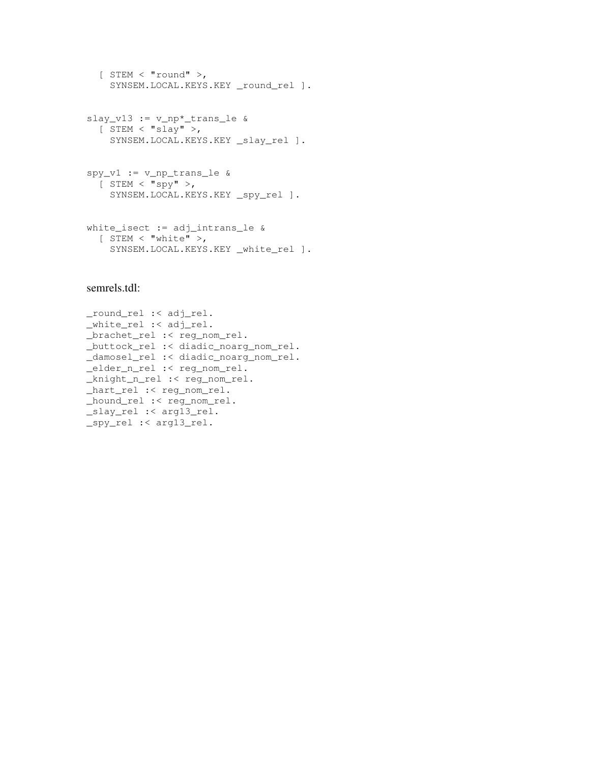```
[ STEM < "round" >,
 SYNSEM.LOCAL.KEYS.KEY _round_rel ].
```

```
slay_v13 := v_np*_trans_le &
 [ STEM < "slay" >,
   SYNSEM.LOCAL.KEYS.KEY _slay_rel ].
```

```
spy_v1 := v_np_trans_le &
  [ STEM < "spy" >,
   SYNSEM.LOCAL.KEYS.KEY _spy_rel ].
```

```
white_isect := adj_intrans_le &
  [ STEM < "white" >,
    SYNSEM.LOCAL.KEYS.KEY _white_rel ].
```
#### semrels.tdl:

```
_round_rel :< adj_rel.
_white_rel :< adj_rel.
_brachet_rel :< reg_nom_rel.
_buttock_rel :< diadic_noarg_nom_rel.
_damosel_rel :< diadic_noarg_nom_rel.
_elder_n_rel :< reg_nom_rel.
_knight_n_rel :< reg_nom_rel.
_hart_rel :< reg_nom_rel.
_hound_rel :< reg_nom_rel.
_slay_rel :< arg13_rel.
_spy_rel :< arg13_rel.
```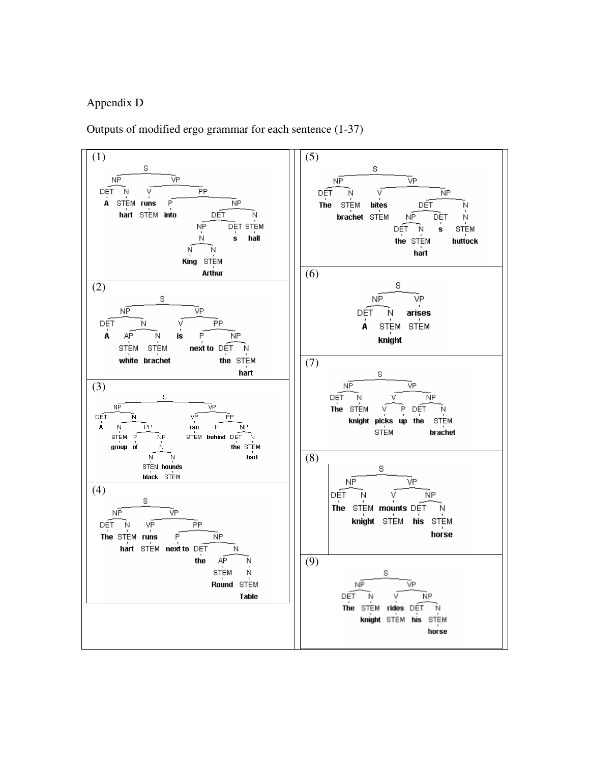# Appendix D

Outputs of modified ergo grammar for each sentence (1-37)

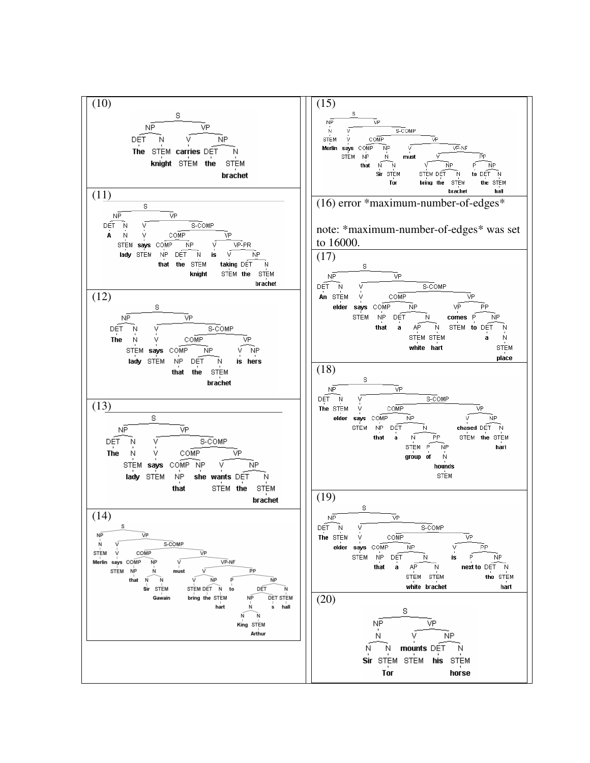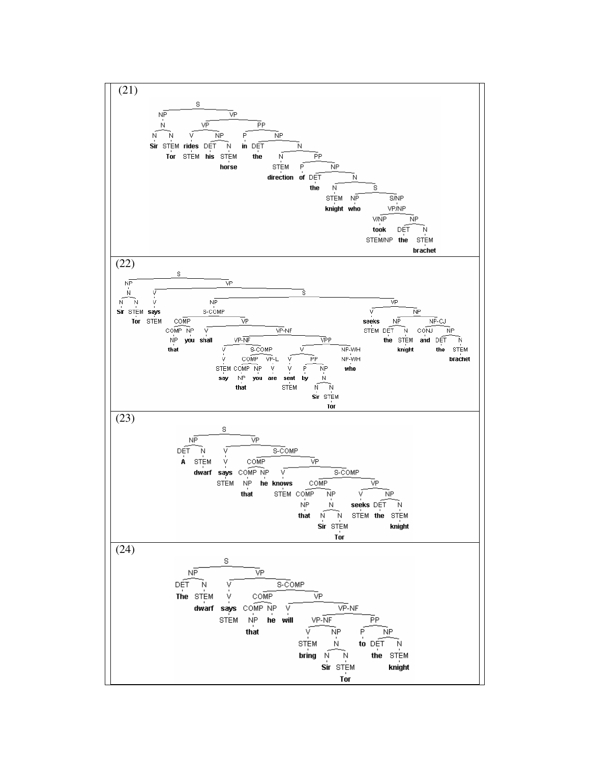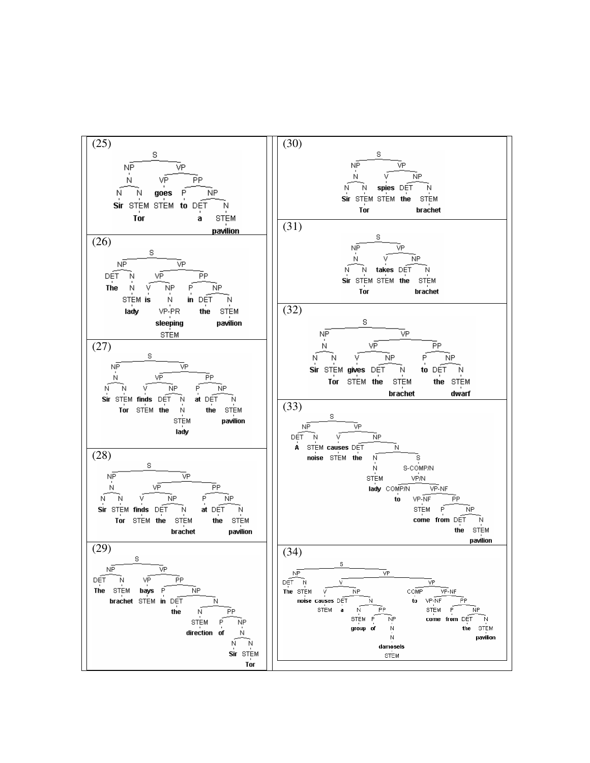